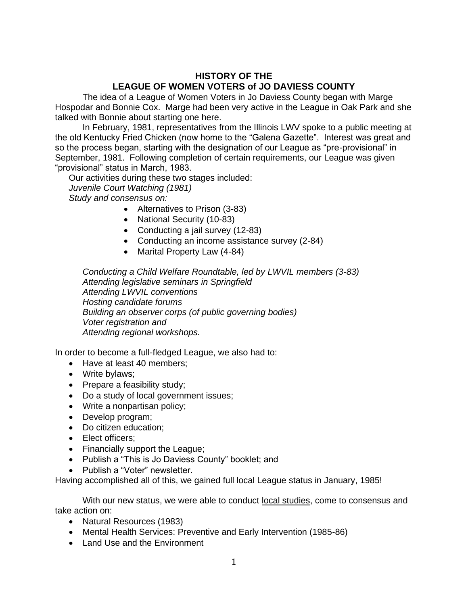## **HISTORY OF THE LEAGUE OF WOMEN VOTERS of JO DAVIESS COUNTY**

The idea of a League of Women Voters in Jo Daviess County began with Marge Hospodar and Bonnie Cox. Marge had been very active in the League in Oak Park and she talked with Bonnie about starting one here.

In February, 1981, representatives from the Illinois LWV spoke to a public meeting at the old Kentucky Fried Chicken (now home to the "Galena Gazette". Interest was great and so the process began, starting with the designation of our League as "pre-provisional" in September, 1981. Following completion of certain requirements, our League was given "provisional" status in March, 1983.

Our activities during these two stages included: *Juvenile Court Watching (1981)*

*Study and consensus on:*

- Alternatives to Prison (3-83)
- National Security (10-83)
- Conducting a jail survey (12-83)
- Conducting an income assistance survey (2-84)
- Marital Property Law (4-84)

*Conducting a Child Welfare Roundtable, led by LWVIL members (3-83) Attending legislative seminars in Springfield Attending LWVIL conventions Hosting candidate forums Building an observer corps (of public governing bodies) Voter registration and Attending regional workshops.*

In order to become a full-fledged League, we also had to:

- Have at least 40 members;
- Write bylaws;
- Prepare a feasibility study;
- Do a study of local government issues;
- Write a nonpartisan policy;
- Develop program;
- Do citizen education;
- Elect officers:
- Financially support the League;
- Publish a "This is Jo Daviess County" booklet; and
- Publish a "Voter" newsletter.

Having accomplished all of this, we gained full local League status in January, 1985!

With our new status, we were able to conduct local studies, come to consensus and take action on:

- Natural Resources (1983)
- Mental Health Services: Preventive and Early Intervention (1985-86)
- Land Use and the Environment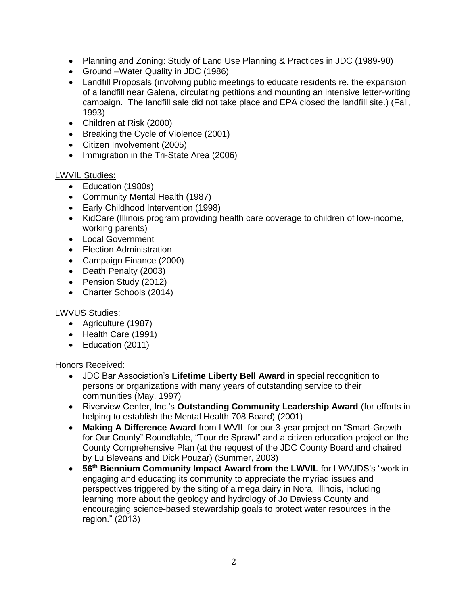- Planning and Zoning: Study of Land Use Planning & Practices in JDC (1989-90)
- Ground –Water Quality in JDC (1986)
- Landfill Proposals (involving public meetings to educate residents re. the expansion of a landfill near Galena, circulating petitions and mounting an intensive letter-writing campaign. The landfill sale did not take place and EPA closed the landfill site.) (Fall, 1993)
- Children at Risk (2000)
- Breaking the Cycle of Violence (2001)
- Citizen Involvement (2005)
- Immigration in the Tri-State Area (2006)

#### LWVIL Studies:

- Education (1980s)
- Community Mental Health (1987)
- Early Childhood Intervention (1998)
- KidCare (Illinois program providing health care coverage to children of low-income, working parents)
- Local Government
- Election Administration
- Campaign Finance (2000)
- Death Penalty (2003)
- Pension Study (2012)
- Charter Schools (2014)

### LWVUS Studies:

- Agriculture (1987)
- Health Care (1991)
- Education (2011)

### Honors Received:

- JDC Bar Association's **Lifetime Liberty Bell Award** in special recognition to persons or organizations with many years of outstanding service to their communities (May, 1997)
- Riverview Center, Inc.'s **Outstanding Community Leadership Award** (for efforts in helping to establish the Mental Health 708 Board) (2001)
- **Making A Difference Award** from LWVIL for our 3-year project on "Smart-Growth for Our County" Roundtable, "Tour de Sprawl" and a citizen education project on the County Comprehensive Plan (at the request of the JDC County Board and chaired by Lu Bleveans and Dick Pouzar) (Summer, 2003)
- **56th Biennium Community Impact Award from the LWVIL** for LWVJDS's "work in engaging and educating its community to appreciate the myriad issues and perspectives triggered by the siting of a mega dairy in Nora, Illinois, including learning more about the geology and hydrology of Jo Daviess County and encouraging science-based stewardship goals to protect water resources in the region." (2013)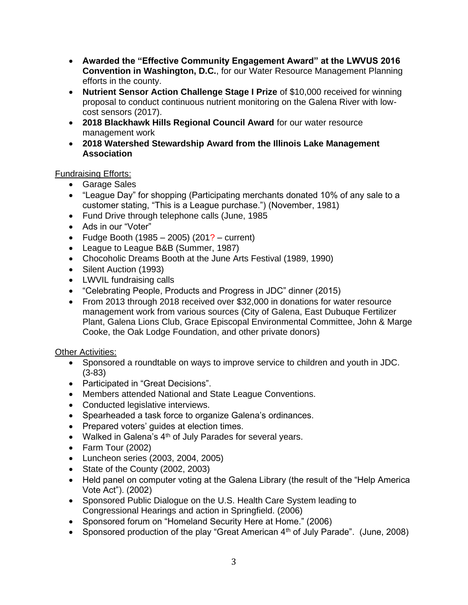- **Awarded the "Effective Community Engagement Award" at the LWVUS 2016 Convention in Washington, D.C.**, for our Water Resource Management Planning efforts in the county.
- **Nutrient Sensor Action Challenge Stage I Prize** of \$10,000 received for winning proposal to conduct continuous nutrient monitoring on the Galena River with lowcost sensors (2017).
- **2018 Blackhawk Hills Regional Council Award** for our water resource management work
- **2018 Watershed Stewardship Award from the Illinois Lake Management Association**

Fundraising Efforts:

- Garage Sales
- "League Day" for shopping (Participating merchants donated 10% of any sale to a customer stating, "This is a League purchase.") (November, 1981)
- Fund Drive through telephone calls (June, 1985
- Ads in our "Voter"
- Fudge Booth  $(1985 2005)$   $(201? -$  current)
- League to League B&B (Summer, 1987)
- Chocoholic Dreams Booth at the June Arts Festival (1989, 1990)
- Silent Auction (1993)
- LWVIL fundraising calls
- "Celebrating People, Products and Progress in JDC" dinner (2015)
- From 2013 through 2018 received over \$32,000 in donations for water resource management work from various sources (City of Galena, East Dubuque Fertilizer Plant, Galena Lions Club, Grace Episcopal Environmental Committee, John & Marge Cooke, the Oak Lodge Foundation, and other private donors)

Other Activities:

- Sponsored a roundtable on ways to improve service to children and youth in JDC. (3-83)
- Participated in "Great Decisions".
- Members attended National and State League Conventions.
- Conducted legislative interviews.
- Spearheaded a task force to organize Galena's ordinances.
- Prepared voters' guides at election times.
- Walked in Galena's  $4<sup>th</sup>$  of July Parades for several years.
- Farm Tour (2002)
- Luncheon series (2003, 2004, 2005)
- State of the County (2002, 2003)
- Held panel on computer voting at the Galena Library (the result of the "Help America Vote Act"). (2002)
- Sponsored Public Dialogue on the U.S. Health Care System leading to Congressional Hearings and action in Springfield. (2006)
- Sponsored forum on "Homeland Security Here at Home." (2006)
- Sponsored production of the play "Great American 4<sup>th</sup> of July Parade". (June, 2008)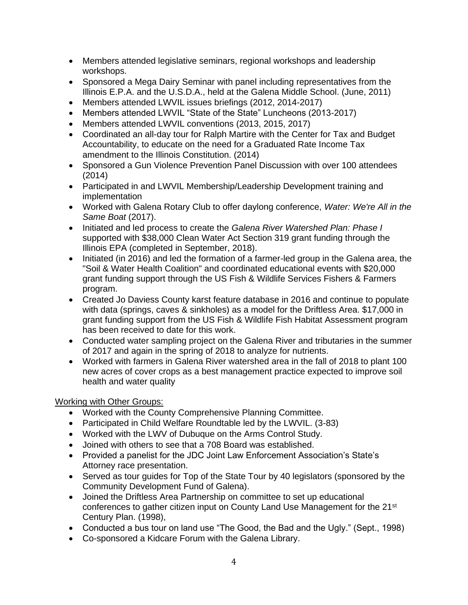- Members attended legislative seminars, regional workshops and leadership workshops.
- Sponsored a Mega Dairy Seminar with panel including representatives from the Illinois E.P.A. and the U.S.D.A., held at the Galena Middle School. (June, 2011)
- Members attended LWVIL issues briefings (2012, 2014-2017)
- Members attended LWVIL "State of the State" Luncheons (2013-2017)
- Members attended LWVIL conventions (2013, 2015, 2017)
- Coordinated an all-day tour for Ralph Martire with the Center for Tax and Budget Accountability, to educate on the need for a Graduated Rate Income Tax amendment to the Illinois Constitution. (2014)
- Sponsored a Gun Violence Prevention Panel Discussion with over 100 attendees (2014)
- Participated in and LWVIL Membership/Leadership Development training and implementation
- Worked with Galena Rotary Club to offer daylong conference, *Water: We're All in the Same Boat* (2017).
- Initiated and led process to create the *Galena River Watershed Plan: Phase I* supported with \$38,000 Clean Water Act Section 319 grant funding through the Illinois EPA (completed in September, 2018).
- Initiated (in 2016) and led the formation of a farmer-led group in the Galena area, the "Soil & Water Health Coalition" and coordinated educational events with \$20,000 grant funding support through the US Fish & Wildlife Services Fishers & Farmers program.
- Created Jo Daviess County karst feature database in 2016 and continue to populate with data (springs, caves & sinkholes) as a model for the Driftless Area. \$17,000 in grant funding support from the US Fish & Wildlife Fish Habitat Assessment program has been received to date for this work.
- Conducted water sampling project on the Galena River and tributaries in the summer of 2017 and again in the spring of 2018 to analyze for nutrients.
- Worked with farmers in Galena River watershed area in the fall of 2018 to plant 100 new acres of cover crops as a best management practice expected to improve soil health and water quality

### Working with Other Groups:

- Worked with the County Comprehensive Planning Committee.
- Participated in Child Welfare Roundtable led by the LWVIL. (3-83)
- Worked with the LWV of Dubuque on the Arms Control Study.
- Joined with others to see that a 708 Board was established.
- Provided a panelist for the JDC Joint Law Enforcement Association's State's Attorney race presentation.
- Served as tour quides for Top of the State Tour by 40 legislators (sponsored by the Community Development Fund of Galena).
- Joined the Driftless Area Partnership on committee to set up educational conferences to gather citizen input on County Land Use Management for the 21st Century Plan. (1998),
- Conducted a bus tour on land use "The Good, the Bad and the Ugly." (Sept., 1998)
- Co-sponsored a Kidcare Forum with the Galena Library.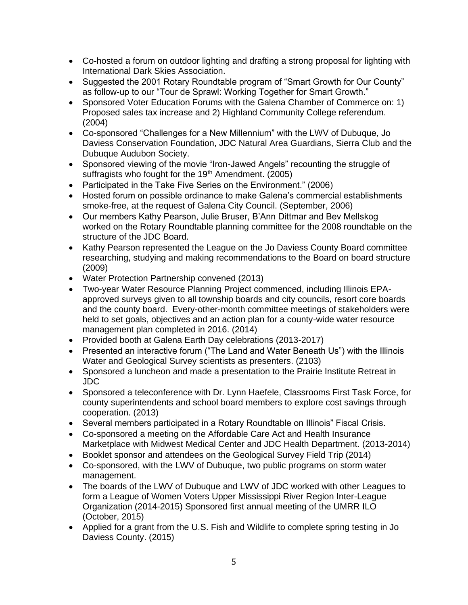- Co-hosted a forum on outdoor lighting and drafting a strong proposal for lighting with International Dark Skies Association.
- Suggested the 2001 Rotary Roundtable program of "Smart Growth for Our County" as follow-up to our "Tour de Sprawl: Working Together for Smart Growth."
- Sponsored Voter Education Forums with the Galena Chamber of Commerce on: 1) Proposed sales tax increase and 2) Highland Community College referendum. (2004)
- Co-sponsored "Challenges for a New Millennium" with the LWV of Dubuque, Jo Daviess Conservation Foundation, JDC Natural Area Guardians, Sierra Club and the Dubuque Audubon Society.
- Sponsored viewing of the movie "Iron-Jawed Angels" recounting the struggle of suffragists who fought for the 19<sup>th</sup> Amendment. (2005)
- Participated in the Take Five Series on the Environment." (2006)
- Hosted forum on possible ordinance to make Galena's commercial establishments smoke-free, at the request of Galena City Council. (September, 2006)
- Our members Kathy Pearson, Julie Bruser, B'Ann Dittmar and Bev Mellskog worked on the Rotary Roundtable planning committee for the 2008 roundtable on the structure of the JDC Board.
- Kathy Pearson represented the League on the Jo Daviess County Board committee researching, studying and making recommendations to the Board on board structure (2009)
- Water Protection Partnership convened (2013)
- Two-year Water Resource Planning Project commenced, including Illinois EPAapproved surveys given to all township boards and city councils, resort core boards and the county board. Every-other-month committee meetings of stakeholders were held to set goals, objectives and an action plan for a county-wide water resource management plan completed in 2016. (2014)
- Provided booth at Galena Earth Day celebrations (2013-2017)
- Presented an interactive forum ("The Land and Water Beneath Us") with the Illinois Water and Geological Survey scientists as presenters. (2103)
- Sponsored a luncheon and made a presentation to the Prairie Institute Retreat in JDC
- Sponsored a teleconference with Dr. Lynn Haefele, Classrooms First Task Force, for county superintendents and school board members to explore cost savings through cooperation. (2013)
- Several members participated in a Rotary Roundtable on Illinois" Fiscal Crisis.
- Co-sponsored a meeting on the Affordable Care Act and Health Insurance Marketplace with Midwest Medical Center and JDC Health Department. (2013-2014)
- Booklet sponsor and attendees on the Geological Survey Field Trip (2014)
- Co-sponsored, with the LWV of Dubuque, two public programs on storm water management.
- The boards of the LWV of Dubuque and LWV of JDC worked with other Leagues to form a League of Women Voters Upper Mississippi River Region Inter-League Organization (2014-2015) Sponsored first annual meeting of the UMRR ILO (October, 2015)
- Applied for a grant from the U.S. Fish and Wildlife to complete spring testing in Jo Daviess County. (2015)